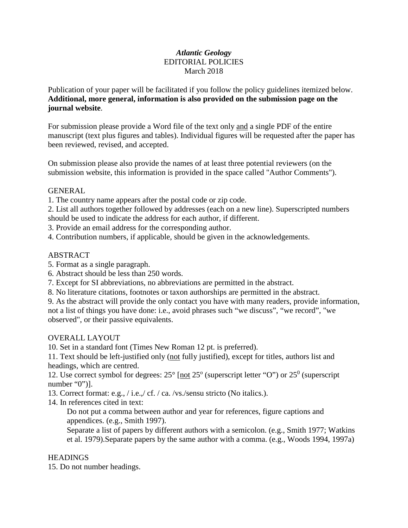## *Atlantic Geology* EDITORIAL POLICIES March 2018

Publication of your paper will be facilitated if you follow the policy guidelines itemized below. **Additional, more general, information is also provided on the submission page on the journal website**.

For submission please provide a Word file of the text only and a single PDF of the entire manuscript (text plus figures and tables). Individual figures will be requested after the paper has been reviewed, revised, and accepted.

On submission please also provide the names of at least three potential reviewers (on the submission website, this information is provided in the space called "Author Comments").

# GENERAL

1. The country name appears after the postal code or zip code.

2. List all authors together followed by addresses (each on a new line). Superscripted numbers should be used to indicate the address for each author, if different.

3. Provide an email address for the corresponding author.

4. Contribution numbers, if applicable, should be given in the acknowledgements.

# ABSTRACT

5. Format as a single paragraph.

6. Abstract should be less than 250 words.

7. Except for SI abbreviations, no abbreviations are permitted in the abstract.

8. No literature citations, footnotes or taxon authorships are permitted in the abstract.

9. As the abstract will provide the only contact you have with many readers, provide information, not a list of things you have done: i.e., avoid phrases such "we discuss", "we record", "we observed", or their passive equivalents.

# OVERALL LAYOUT

10. Set in a standard font (Times New Roman 12 pt. is preferred).

11. Text should be left-justified only (not fully justified), except for titles, authors list and headings, which are centred.

12. Use correct symbol for degrees:  $25^{\circ}$  [not  $25^{\circ}$  (superscript letter "O") or  $25^{\circ}$  (superscript number " $0$ ")].

13. Correct format: e.g., / i.e.,/ cf. / ca. /vs./sensu stricto (No italics.).

14. In references cited in text:

Do not put a comma between author and year for references, figure captions and appendices. (e.g., Smith 1997).

Separate a list of papers by different authors with a semicolon. (e.g., Smith 1977; Watkins et al. 1979).Separate papers by the same author with a comma. (e.g., Woods 1994, 1997a)

# **HEADINGS**

15. Do not number headings.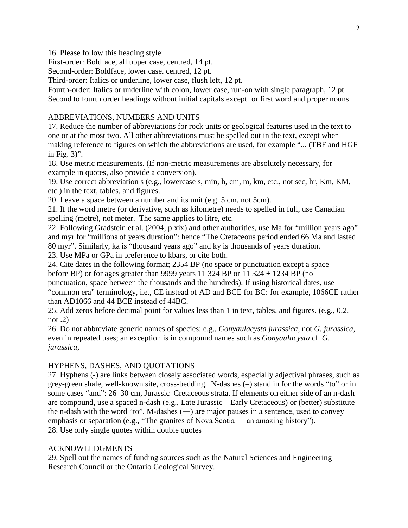16. Please follow this heading style:

First-order: Boldface, all upper case, centred, 14 pt.

Second-order: Boldface, lower case. centred, 12 pt.

Third-order: Italics or underline, lower case, flush left, 12 pt.

Fourth-order: Italics or underline with colon, lower case, run-on with single paragraph, 12 pt. Second to fourth order headings without initial capitals except for first word and proper nouns

## ABBREVIATIONS, NUMBERS AND UNITS

17. Reduce the number of abbreviations for rock units or geological features used in the text to one or at the most two. All other abbreviations must be spelled out in the text, except when making reference to figures on which the abbreviations are used, for example "... (TBF and HGF in Fig. 3)".

18. Use metric measurements. (If non-metric measurements are absolutely necessary, for example in quotes, also provide a conversion).

19. Use correct abbreviation s (e.g., lowercase s, min, h, cm, m, km, etc., not sec, hr, Km, KM, etc.) in the text, tables, and figures.

20. Leave a space between a number and its unit (e.g. 5 cm, not 5cm).

21. If the word metre (or derivative, such as kilometre) needs to spelled in full, use Canadian spelling (metre), not meter. The same applies to litre, etc.

22. Following Gradstein et al. (2004, p.xix) and other authorities, use Ma for "million years ago" and myr for "millions of years duration": hence "The Cretaceous period ended 66 Ma and lasted 80 myr". Similarly, ka is "thousand years ago" and ky is thousands of years duration.

23. Use MPa or GPa in preference to kbars, or cite both.

24. Cite dates in the following format; 2354 BP (no space or punctuation except a space before BP) or for ages greater than 9999 years 11 324 BP or 11 324 + 1234 BP (no punctuation, space between the thousands and the hundreds). If using historical dates, use

"common era" terminology, i.e., CE instead of AD and BCE for BC: for example, 1066CE rather than AD1066 and 44 BCE instead of 44BC.

25. Add zeros before decimal point for values less than 1 in text, tables, and figures. (e.g., 0.2, not .2)

26. Do not abbreviate generic names of species: e.g., *Gonyaulacysta jurassica*, not *G. jurassica*, even in repeated uses; an exception is in compound names such as *Gonyaulacysta* cf. *G. jurassica*,

## HYPHENS, DASHES, AND QUOTATIONS

27. Hyphens (-) are links between closely associated words, especially adjectival phrases, such as grey-green shale, well-known site, cross-bedding. N-dashes (–) stand in for the words "to" or in some cases "and": 26–30 cm, Jurassic–Cretaceous strata. If elements on either side of an n-dash are compound, use a spaced n-dash (e.g., Late Jurassic – Early Cretaceous) or (better) substitute the n-dash with the word "to". M-dashes  $(-)$  are major pauses in a sentence, used to convey emphasis or separation (e.g., "The granites of Nova Scotia ― an amazing history"). 28. Use only single quotes within double quotes

## ACKNOWLEDGMENTS

29. Spell out the names of funding sources such as the Natural Sciences and Engineering Research Council or the Ontario Geological Survey.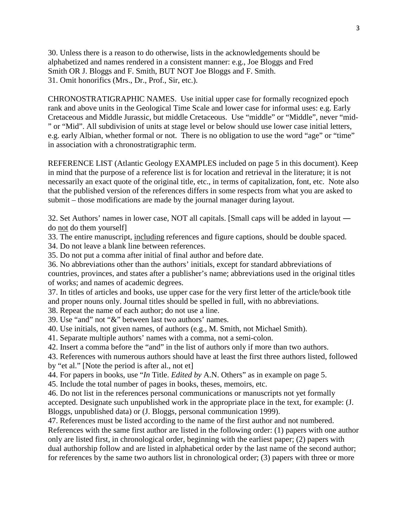30. Unless there is a reason to do otherwise, lists in the acknowledgements should be alphabetized and names rendered in a consistent manner: e.g., Joe Bloggs and Fred Smith OR J. Bloggs and F. Smith, BUT NOT Joe Bloggs and F. Smith. 31. Omit honorifics (Mrs., Dr., Prof., Sir, etc.).

CHRONOSTRATIGRAPHIC NAMES. Use initial upper case for formally recognized epoch rank and above units in the Geological Time Scale and lower case for informal uses: e.g. Early Cretaceous and Middle Jurassic, but middle Cretaceous. Use "middle" or "Middle", never "mid- " or "Mid". All subdivision of units at stage level or below should use lower case initial letters, e.g. early Albian, whether formal or not. There is no obligation to use the word "age" or "time" in association with a chronostratigraphic term.

REFERENCE LIST (Atlantic Geology EXAMPLES included on page 5 in this document). Keep in mind that the purpose of a reference list is for location and retrieval in the literature; it is not necessarily an exact quote of the original title, etc., in terms of capitalization, font, etc. Note also that the published version of the references differs in some respects from what you are asked to submit – those modifications are made by the journal manager during layout.

32. Set Authors' names in lower case, NOT all capitals. [Small caps will be added in layout ― do not do them yourself]

33. The entire manuscript, including references and figure captions, should be double spaced.

34. Do not leave a blank line between references.

35. Do not put a comma after initial of final author and before date.

36. No abbreviations other than the authors' initials, except for standard abbreviations of countries, provinces, and states after a publisher's name; abbreviations used in the original titles of works; and names of academic degrees.

37. In titles of articles and books, use upper case for the very first letter of the article/book title and proper nouns only. Journal titles should be spelled in full, with no abbreviations.

38. Repeat the name of each author; do not use a line.

39. Use "and" not "&" between last two authors' names.

40. Use initials, not given names, of authors (e.g., M. Smith, not Michael Smith).

41. Separate multiple authors' names with a comma, not a semi-colon.

42. Insert a comma before the "and" in the list of authors only if more than two authors.

43. References with numerous authors should have at least the first three authors listed, followed

by "et al." [Note the period is after al., not et]

44. For papers in books, use "*In* Title. *Edited by* A.N. Others" as in example on page 5.

45. Include the total number of pages in books, theses, memoirs, etc.

46. Do not list in the references personal communications or manuscripts not yet formally accepted. Designate such unpublished work in the appropriate place in the text, for example: (J. Bloggs, unpublished data) or (J. Bloggs, personal communication 1999).

47. References must be listed according to the name of the first author and not numbered.

References with the same first author are listed in the following order: (1) papers with one author only are listed first, in chronological order, beginning with the earliest paper; (2) papers with dual authorship follow and are listed in alphabetical order by the last name of the second author; for references by the same two authors list in chronological order; (3) papers with three or more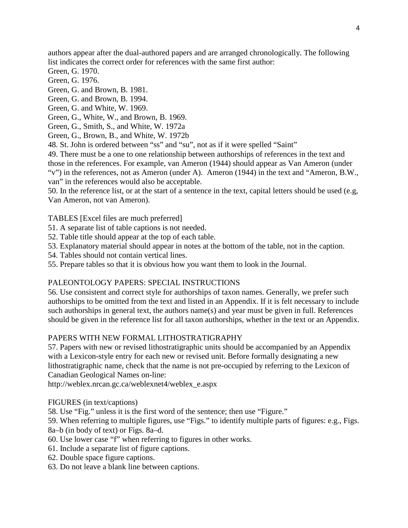authors appear after the dual-authored papers and are arranged chronologically. The following list indicates the correct order for references with the same first author:

Green, G. 1970.

Green, G. 1976.

Green, G. and Brown, B. 1981.

Green, G. and Brown, B. 1994.

Green, G. and White, W. 1969.

Green, G., White, W., and Brown, B. 1969.

Green, G., Smith, S., and White, W. 1972a

Green, G., Brown, B., and White, W. 1972b

48. St. John is ordered between "ss" and "su", not as if it were spelled "Saint"

49. There must be a one to one relationship between authorships of references in the text and those in the references. For example, van Ameron (1944) should appear as Van Ameron (under "v") in the references, not as Ameron (under A). Ameron (1944) in the text and "Ameron, B.W., van" in the references would also be acceptable.

50. In the reference list, or at the start of a sentence in the text, capital letters should be used (e.g, Van Ameron, not van Ameron).

TABLES [Excel files are much preferred]

- 51. A separate list of table captions is not needed.
- 52. Table title should appear at the top of each table.
- 53. Explanatory material should appear in notes at the bottom of the table, not in the caption.
- 54. Tables should not contain vertical lines.
- 55. Prepare tables so that it is obvious how you want them to look in the Journal.

### PALEONTOLOGY PAPERS: SPECIAL INSTRUCTIONS

56. Use consistent and correct style for authorships of taxon names. Generally, we prefer such authorships to be omitted from the text and listed in an Appendix. If it is felt necessary to include such authorships in general text, the authors name(s) and year must be given in full. References should be given in the reference list for all taxon authorships, whether in the text or an Appendix.

## PAPERS WITH NEW FORMAL LITHOSTRATIGRAPHY

57. Papers with new or revised lithostratigraphic units should be accompanied by an Appendix with a Lexicon-style entry for each new or revised unit. Before formally designating a new lithostratigraphic name, check that the name is not pre-occupied by referring to the Lexicon of Canadian Geological Names on-line:

http://weblex.nrcan.gc.ca/weblexnet4/weblex\_e.aspx

FIGURES (in text/captions)

58. Use "Fig." unless it is the first word of the sentence; then use "Figure."

59. When referring to multiple figures, use "Figs." to identify multiple parts of figures: e.g., Figs. 8a–b (in body of text) or Figs. 8a–d.

- 60. Use lower case "f" when referring to figures in other works.
- 61. Include a separate list of figure captions.
- 62. Double space figure captions.
- 63. Do not leave a blank line between captions.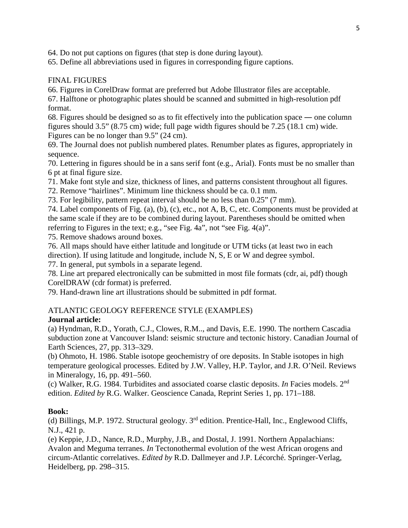64. Do not put captions on figures (that step is done during layout).

65. Define all abbreviations used in figures in corresponding figure captions.

## FINAL FIGURES

66. Figures in CorelDraw format are preferred but Adobe Illustrator files are acceptable.

67. Halftone or photographic plates should be scanned and submitted in high-resolution pdf format.

68. Figures should be designed so as to fit effectively into the publication space ― one column figures should 3.5" (8.75 cm) wide; full page width figures should be 7.25 (18.1 cm) wide. Figures can be no longer than 9.5" (24 cm).

69. The Journal does not publish numbered plates. Renumber plates as figures, appropriately in sequence.

70. Lettering in figures should be in a sans serif font (e.g., Arial). Fonts must be no smaller than 6 pt at final figure size.

71. Make font style and size, thickness of lines, and patterns consistent throughout all figures.

72. Remove "hairlines". Minimum line thickness should be ca. 0.1 mm.

73. For legibility, pattern repeat interval should be no less than 0.25" (7 mm).

74. Label components of Fig. (a), (b), (c), etc., not A, B, C, etc. Components must be provided at the same scale if they are to be combined during layout. Parentheses should be omitted when referring to Figures in the text; e.g., "see Fig. 4a", not "see Fig. 4(a)".

75. Remove shadows around boxes.

76. All maps should have either latitude and longitude or UTM ticks (at least two in each direction). If using latitude and longitude, include N, S, E or W and degree symbol.

77. In general, put symbols in a separate legend.

78. Line art prepared electronically can be submitted in most file formats (cdr, ai, pdf) though CorelDRAW (cdr format) is preferred.

79. Hand-drawn line art illustrations should be submitted in pdf format.

# ATLANTIC GEOLOGY REFERENCE STYLE (EXAMPLES) **Journal article:**

(a) Hyndman, R.D., Yorath, C.J., Clowes, R.M.., and Davis, E.E. 1990. The northern Cascadia subduction zone at Vancouver Island: seismic structure and tectonic history. Canadian Journal of Earth Sciences, 27, pp. 313–329.

(b) Ohmoto, H. 1986. Stable isotope geochemistry of ore deposits. In Stable isotopes in high temperature geological processes. Edited by J.W. Valley, H.P. Taylor, and J.R. O'Neil. Reviews in Mineralogy, 16, pp. 491–560.

(c) Walker, R.G. 1984. Turbidites and associated coarse clastic deposits. *In* Facies models. 2nd edition. *Edited by* R.G. Walker. Geoscience Canada, Reprint Series 1, pp. 171–188.

# **Book:**

(d) Billings, M.P. 1972. Structural geology. 3rd edition. Prentice-Hall, Inc., Englewood Cliffs, N.J., 421 p.

(e) Keppie, J.D., Nance, R.D., Murphy, J.B., and Dostal, J. 1991. Northern Appalachians: Avalon and Meguma terranes. *In* Tectonothermal evolution of the west African orogens and circum-Atlantic correlatives. *Edited by* R.D. Dallmeyer and J.P. Lécorché. Springer-Verlag, Heidelberg, pp. 298–315.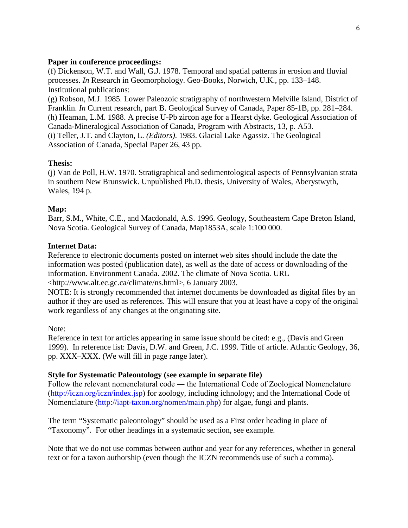## **Paper in conference proceedings:**

(f) Dickenson, W.T. and Wall, G.J. 1978. Temporal and spatial patterns in erosion and fluvial processes. *In* Research in Geomorphology. Geo-Books, Norwich, U.K., pp. 133–148. Institutional publications:

(g) Robson, M.J. 1985. Lower Paleozoic stratigraphy of northwestern Melville Island, District of Franklin. *In* Current research, part B. Geological Survey of Canada, Paper 85-1B, pp. 281–284. (h) Heaman, L.M. 1988. A precise U-Pb zircon age for a Hearst dyke. Geological Association of Canada-Mineralogical Association of Canada, Program with Abstracts, 13, p. A53. (i) Teller, J.T. and Clayton, L. *(Editors)*. 1983. Glacial Lake Agassiz. The Geological Association of Canada, Special Paper 26, 43 pp.

## **Thesis:**

(j) Van de Poll, H.W. 1970. Stratigraphical and sedimentological aspects of Pennsylvanian strata in southern New Brunswick. Unpublished Ph.D. thesis, University of Wales, Aberystwyth, Wales, 194 p.

### **Map:**

Barr, S.M., White, C.E., and Macdonald, A.S. 1996. Geology, Southeastern Cape Breton Island, Nova Scotia. Geological Survey of Canada, Map1853A, scale 1:100 000.

### **Internet Data:**

Reference to electronic documents posted on internet web sites should include the date the information was posted (publication date), as well as the date of access or downloading of the information. Environment Canada. 2002. The climate of Nova Scotia. URL <http://www.alt.ec.gc.ca/climate/ns.html>, 6 January 2003.

NOTE: It is strongly recommended that internet documents be downloaded as digital files by an author if they are used as references. This will ensure that you at least have a copy of the original work regardless of any changes at the originating site.

Note:

Reference in text for articles appearing in same issue should be cited: e.g., (Davis and Green 1999). In reference list: Davis, D.W. and Green, J.C. 1999. Title of article. Atlantic Geology, 36, pp. XXX–XXX. (We will fill in page range later).

#### **Style for Systematic Paleontology (see example in separate file)**

Follow the relevant nomenclatural code — the International Code of Zoological Nomenclature [\(http://iczn.org/iczn/index.jsp\)](http://iczn.org/iczn/index.jsp) for zoology, including ichnology; and the International Code of Nomenclature [\(http://iapt-taxon.org/nomen/main.php\)](http://iapt-taxon.org/nomen/main.php) for algae, fungi and plants.

The term "Systematic paleontology" should be used as a First order heading in place of "Taxonomy". For other headings in a systematic section, see example.

Note that we do not use commas between author and year for any references, whether in general text or for a taxon authorship (even though the ICZN recommends use of such a comma).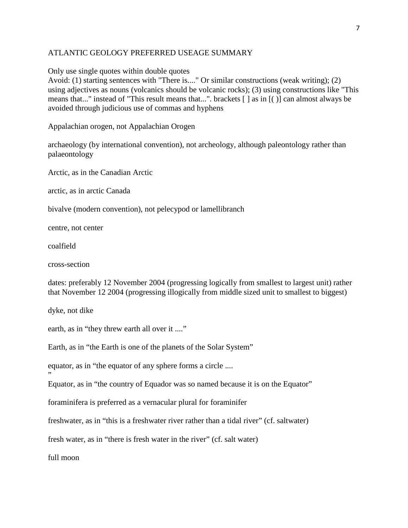#### ATLANTIC GEOLOGY PREFERRED USEAGE SUMMARY

Only use single quotes within double quotes

Avoid: (1) starting sentences with "There is...." Or similar constructions (weak writing); (2) using adjectives as nouns (volcanics should be volcanic rocks); (3) using constructions like "This means that..." instead of "This result means that...". brackets [ ] as in [( )] can almost always be avoided through judicious use of commas and hyphens

Appalachian orogen, not Appalachian Orogen

archaeology (by international convention), not archeology, although paleontology rather than palaeontology

Arctic, as in the Canadian Arctic

arctic, as in arctic Canada

bivalve (modern convention), not pelecypod or lamellibranch

centre, not center

coalfield

cross-section

dates: preferably 12 November 2004 (progressing logically from smallest to largest unit) rather that November 12 2004 (progressing illogically from middle sized unit to smallest to biggest)

dyke, not dike

earth, as in "they threw earth all over it ...."

Earth, as in "the Earth is one of the planets of the Solar System"

equator, as in "the equator of any sphere forms a circle ....

Equator, as in "the country of Equador was so named because it is on the Equator"

foraminifera is preferred as a vernacular plural for foraminifer

freshwater, as in "this is a freshwater river rather than a tidal river" (cf. saltwater)

fresh water, as in "there is fresh water in the river" (cf. salt water)

full moon

"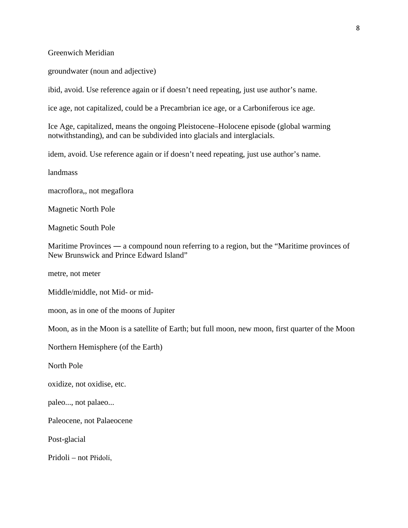Greenwich Meridian

groundwater (noun and adjective)

ibid, avoid. Use reference again or if doesn't need repeating, just use author's name.

ice age, not capitalized, could be a Precambrian ice age, or a Carboniferous ice age.

Ice Age, capitalized, means the ongoing Pleistocene–Holocene episode (global warming notwithstanding), and can be subdivided into glacials and interglacials.

idem, avoid. Use reference again or if doesn't need repeating, just use author's name.

landmass

macroflora,, not megaflora

Magnetic North Pole

Magnetic South Pole

Maritime Provinces — a compound noun referring to a region, but the "Maritime provinces of New Brunswick and Prince Edward Island"

metre, not meter

Middle/middle, not Mid- or mid-

moon, as in one of the moons of Jupiter

Moon, as in the Moon is a satellite of Earth; but full moon, new moon, first quarter of the Moon

Northern Hemisphere (of the Earth)

North Pole

oxidize, not oxidise, etc.

paleo..., not palaeo...

Paleocene, not Palaeocene

Post-glacial

Pridoli – not Přidolí,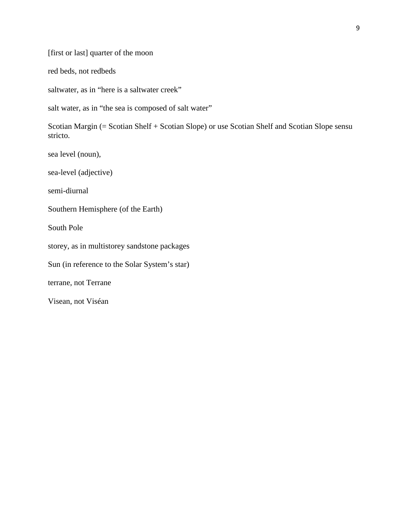[first or last] quarter of the moon

red beds, not redbeds

saltwater, as in "here is a saltwater creek"

salt water, as in "the sea is composed of salt water"

Scotian Margin (= Scotian Shelf + Scotian Slope) or use Scotian Shelf and Scotian Slope sensu stricto.

sea level (noun),

sea-level (adjective)

semi-diurnal

Southern Hemisphere (of the Earth)

South Pole

storey, as in multistorey sandstone packages

Sun (in reference to the Solar System's star)

terrane, not Terrane

Visean, not Viséan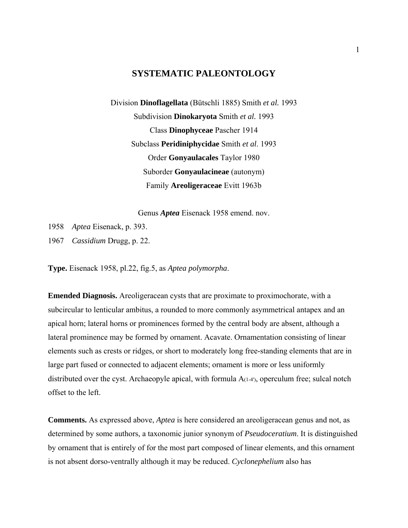## **SYSTEMATIC PALEONTOLOGY**

Division **Dinoflagellata** (Bütschli 1885) Smith *et al.* 1993 Subdivision **Dinokaryota** Smith *et al.* 1993 Class **Dinophyceae** Pascher 1914 Subclass **Peridiniphycidae** Smith *et al*. 1993 Order **Gonyaulacales** Taylor 1980 Suborder **Gonyaulacineae** (autonym) Family **Areoligeraceae** Evitt 1963b

Genus *Aptea* Eisenack 1958 emend. nov.

- 1958 *Aptea* Eisenack, p. 393.
- 1967 *Cassidium* Drugg, p. 22.

**Type.** Eisenack 1958, pl.22, fig.5, as *Aptea polymorpha*.

**Emended Diagnosis.** Areoligeracean cysts that are proximate to proximochorate, with a subcircular to lenticular ambitus, a rounded to more commonly asymmetrical antapex and an apical horn; lateral horns or prominences formed by the central body are absent, although a lateral prominence may be formed by ornament. Acavate. Ornamentation consisting of linear elements such as crests or ridges, or short to moderately long free-standing elements that are in large part fused or connected to adjacent elements; ornament is more or less uniformly distributed over the cyst. Archaeopyle apical, with formula  $A_{(1-4)}$ , operculum free; sulcal notch offset to the left.

**Comments.** As expressed above, *Aptea* is here considered an areoligeracean genus and not, as determined by some authors, a taxonomic junior synonym of *Pseudoceratium*. It is distinguished by ornament that is entirely of for the most part composed of linear elements, and this ornament is not absent dorso-ventrally although it may be reduced. *Cyclonephelium* also has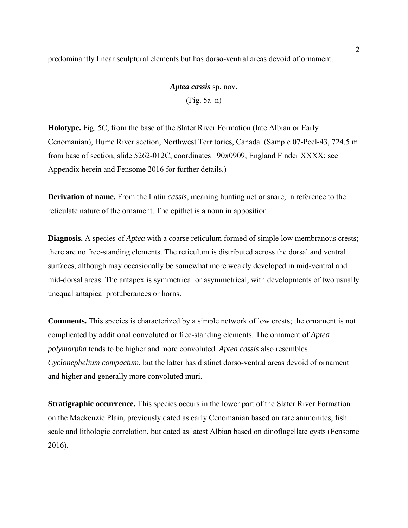predominantly linear sculptural elements but has dorso-ventral areas devoid of ornament.

*Aptea cassis* sp. nov. (Fig. 5a–n)

**Holotype.** Fig. 5C, from the base of the Slater River Formation (late Albian or Early Cenomanian), Hume River section, Northwest Territories, Canada. (Sample 07-Peel-43, 724.5 m from base of section, slide 5262-012C, coordinates 190x0909, England Finder XXXX; see Appendix herein and Fensome 2016 for further details.)

**Derivation of name.** From the Latin *cassis*, meaning hunting net or snare, in reference to the reticulate nature of the ornament. The epithet is a noun in apposition.

**Diagnosis.** A species of *Aptea* with a coarse reticulum formed of simple low membranous crests; there are no free-standing elements. The reticulum is distributed across the dorsal and ventral surfaces, although may occasionally be somewhat more weakly developed in mid-ventral and mid-dorsal areas. The antapex is symmetrical or asymmetrical, with developments of two usually unequal antapical protuberances or horns.

**Comments.** This species is characterized by a simple network of low crests; the ornament is not complicated by additional convoluted or free-standing elements. The ornament of *Aptea polymorpha* tends to be higher and more convoluted. *Aptea cassis* also resembles *Cyclonephelium compactum*, but the latter has distinct dorso-ventral areas devoid of ornament and higher and generally more convoluted muri.

**Stratigraphic occurrence.** This species occurs in the lower part of the Slater River Formation on the Mackenzie Plain, previously dated as early Cenomanian based on rare ammonites, fish scale and lithologic correlation, but dated as latest Albian based on dinoflagellate cysts (Fensome 2016).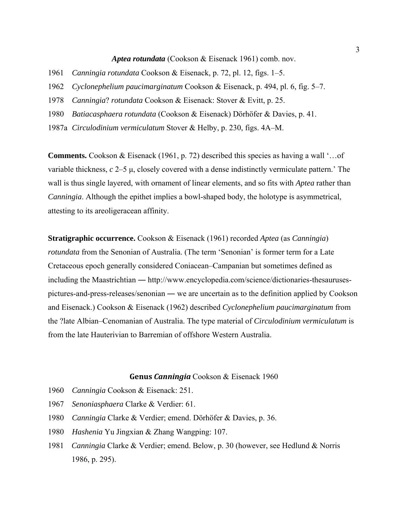#### *Aptea rotundata* (Cookson & Eisenack 1961) comb. nov.

- 1961 *Canningia rotundata* Cookson & Eisenack, p. 72, pl. 12, figs. 1–5.
- 1962 *Cyclonephelium paucimarginatum* Cookson & Eisenack, p. 494, pl. 6, fig. 5–7.
- 1978 *Canningia*? *rotundata* Cookson & Eisenack: Stover & Evitt, p. 25.
- 1980 *Batiacasphaera rotundata* (Cookson & Eisenack) Dörhöfer & Davies, p. 41.
- 1987a *Circulodinium vermiculatum* Stover & Helby, p. 230, figs. 4A–M.

**Comments.** Cookson & Eisenack (1961, p. 72) described this species as having a wall '…of variable thickness, *c* 2–5 μ, closely covered with a dense indistinctly vermiculate pattern.' The wall is thus single layered, with ornament of linear elements, and so fits with *Aptea* rather than *Canningia*. Although the epithet implies a bowl-shaped body, the holotype is asymmetrical, attesting to its areoligeracean affinity.

**Stratigraphic occurrence.** Cookson & Eisenack (1961) recorded *Aptea* (as *Canningia*) *rotundata* from the Senonian of Australia. (The term 'Senonian' is former term for a Late Cretaceous epoch generally considered Coniacean–Campanian but sometimes defined as including the Maastrichtian ― http://www.encyclopedia.com/science/dictionaries-thesaurusespictures-and-press-releases/senonian ― we are uncertain as to the definition applied by Cookson and Eisenack.) Cookson & Eisenack (1962) described *Cyclonephelium paucimarginatum* from the ?late Albian–Cenomanian of Australia. The type material of *Circulodinium vermiculatum* is from the late Hauterivian to Barremian of offshore Western Australia.

#### **Genus** *Canningia* Cookson & Eisenack 1960

- 1960 *Canningia* Cookson & Eisenack: 251.
- 1967 *Senoniasphaera* Clarke & Verdier: 61.
- 1980 *Canningia* Clarke & Verdier; emend. Dörhöfer & Davies, p. 36.
- 1980 *Hashenia* Yu Jingxian & Zhang Wangping: 107.
- 1981 *Canningia* Clarke & Verdier; emend. Below, p. 30 (however, see Hedlund & Norris 1986, p. 295).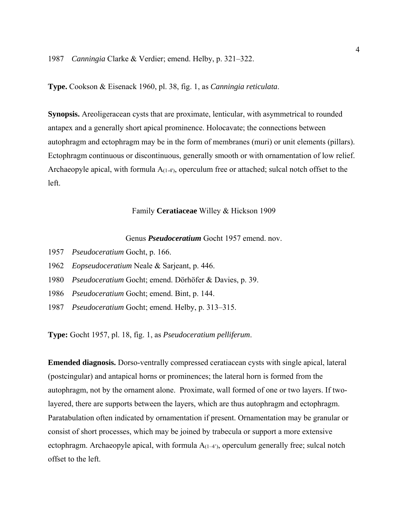**Type.** Cookson & Eisenack 1960, pl. 38, fig. 1, as *Canningia reticulata*.

**Synopsis.** Areoligeracean cysts that are proximate, lenticular, with asymmetrical to rounded antapex and a generally short apical prominence. Holocavate; the connections between autophragm and ectophragm may be in the form of membranes (muri) or unit elements (pillars). Ectophragm continuous or discontinuous, generally smooth or with ornamentation of low relief. Archaeopyle apical, with formula  $A_{(1-4)}$ , operculum free or attached; sulcal notch offset to the left.

#### Family **Ceratiaceae** Willey & Hickson 1909

Genus *Pseudoceratium* Gocht 1957 emend. nov.

- 1957 *Pseudoceratium* Gocht, p. 166.
- 1962 *Eopseudoceratium* Neale & Sarjeant, p. 446.
- 1980 *Pseudoceratium* Gocht; emend. Dörhöfer & Davies, p. 39.
- 1986 *Pseudoceratium* Gocht; emend. Bint, p. 144.
- 1987 *Pseudoceratium* Gocht; emend. Helby, p. 313–315.

**Type:** Gocht 1957, pl. 18, fig. 1, as *Pseudoceratium pelliferum*.

**Emended diagnosis.** Dorso-ventrally compressed ceratiacean cysts with single apical, lateral (postcingular) and antapical horns or prominences; the lateral horn is formed from the autophragm, not by the ornament alone. Proximate, wall formed of one or two layers. If twolayered, there are supports between the layers, which are thus autophragm and ectophragm. Paratabulation often indicated by ornamentation if present. Ornamentation may be granular or consist of short processes, which may be joined by trabecula or support a more extensive ectophragm. Archaeopyle apical, with formula  $A_{(1-4)}$ , operculum generally free; sulcal notch offset to the left.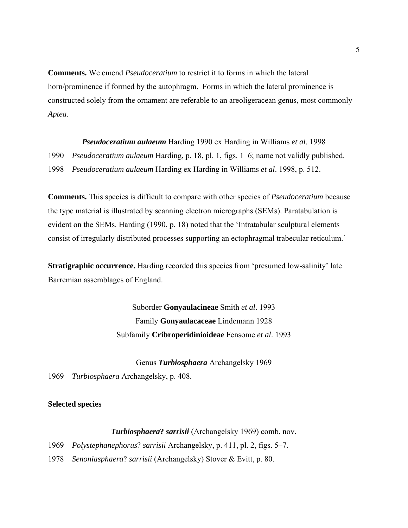**Comments.** We emend *Pseudoceratium* to restrict it to forms in which the lateral horn/prominence if formed by the autophragm. Forms in which the lateral prominence is constructed solely from the ornament are referable to an areoligeracean genus, most commonly *Aptea*.

*Pseudoceratium aulaeum* Harding 1990 ex Harding in Williams *et al*. 1998 1990 *Pseudoceratium aulaeum* Harding, p. 18, pl. 1, figs. 1–6; name not validly published. 1998 *Pseudoceratium aulaeum* Harding ex Harding in Williams *et al*. 1998, p. 512.

**Comments.** This species is difficult to compare with other species of *Pseudoceratium* because the type material is illustrated by scanning electron micrographs (SEMs). Paratabulation is evident on the SEMs. Harding (1990, p. 18) noted that the 'Intratabular sculptural elements consist of irregularly distributed processes supporting an ectophragmal trabecular reticulum.'

**Stratigraphic occurrence.** Harding recorded this species from 'presumed low-salinity' late Barremian assemblages of England.

> Suborder **Gonyaulacineae** Smith *et al*. 1993 Family **Gonyaulacaceae** Lindemann 1928 Subfamily **Cribroperidinioideae** Fensome *et al*. 1993

> > Genus *Turbiosphaera* Archangelsky 1969

1969 *Turbiosphaera* Archangelsky, p. 408.

#### **Selected species**

*Turbiosphaera***?** *sarrisii* (Archangelsky 1969) comb. nov.

1969 *Polystephanephorus*? *sarrisii* Archangelsky, p. 411, pl. 2, figs. 5–7.

1978 *Senoniasphaera*? *sarrisii* (Archangelsky) Stover & Evitt, p. 80.